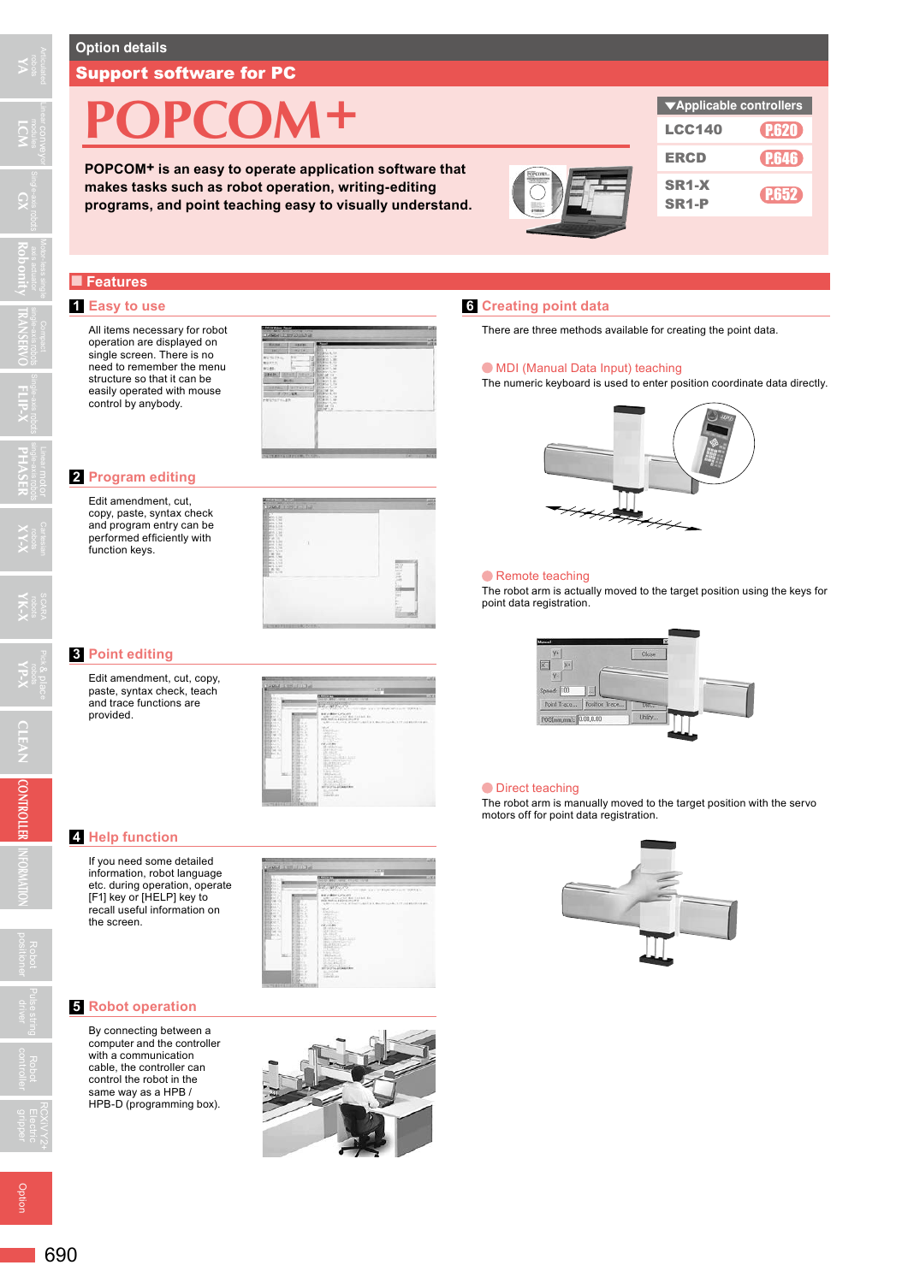**YA**

 $\Omega$ 

**TRANSERVO**

**Robonity**

**FLIP-X**

Linear conveyor **LCM**

#### Support software for PC

# **POPCOM+**

**POPCOM+ is an easy to operate application software that makes tasks such as robot operation, writing-editing programs, and point teaching easy to visually understand.**



### ■ **Features**

#### **1 Easy to use**

All items necessary for robot operation are displayed on single screen. There is no need to remember the menu structure so that it can be easily operated with mouse control by anybody.



#### **2 Program editing**

Edit amendment, cut, copy, paste, syntax check and program entry can be performed efficiently with function keys.



#### **3 Point editing**

Edit amendment, cut, copy, paste, syntax check, teach and trace functions are provided.

| ۰                                                                                                                                                                                                                                                                                                                                                                                                                                                                                                                          | <b>EXAMPLE</b>                                                                                                                                                                                                                                                                                                                                                    |
|----------------------------------------------------------------------------------------------------------------------------------------------------------------------------------------------------------------------------------------------------------------------------------------------------------------------------------------------------------------------------------------------------------------------------------------------------------------------------------------------------------------------------|-------------------------------------------------------------------------------------------------------------------------------------------------------------------------------------------------------------------------------------------------------------------------------------------------------------------------------------------------------------------|
| <b>BEER H. L. Mr.</b><br><b>Birthday</b>                                                                                                                                                                                                                                                                                                                                                                                                                                                                                   | Service MAIN Lance Alliance<br><br><b>CONTROLLED</b>                                                                                                                                                                                                                                                                                                              |
| <b>Billian</b><br><b>BOON ALL AND</b><br><b>Britishers</b>                                                                                                                                                                                                                                                                                                                                                                                                                                                                 | <b>SLEVE WEIGHTS</b><br>ATACK MALL & ALECTIC VIDEO AND COMMUNICATE DEMAND.                                                                                                                                                                                                                                                                                        |
| <b>British of the</b><br><b>Ballisto</b><br><b>SALE</b><br><b>Billion of</b><br>. .<br><b>BERGAVA A</b><br>Mar. C<br><b>BEGINS</b><br><b>State of the</b><br><b>Billions</b><br>Mar. 16<br><b>Billiam on 1</b><br><b>MITS IN</b><br><b>BIRD M</b><br><b>BETH M</b><br><b>Birthdan Corp.</b><br><b>MAIL</b><br><b>Billian</b><br><b>BANK 10</b><br><b>BELING ST</b><br><b>BALLA</b><br><b>BISSION AT A</b><br><b>Mark</b><br><b>British Sec.</b><br><b>Marine Ave</b><br>Mar 2<br>Billiam L.<br>m<br>٠<br>341.2<br>$14 - 1$ | 当ためしい場合をとくしてしたのか<br>afternational standard as<br>tells built in address material<br>ABS can be contacted at the contact of the contact of the contact of the president of the<br><b>MAR</b><br>CANADIAN<br><b>UNLICE</b><br>MARSH<br><b>BUSCH</b><br>141199<br><b>HEARING</b><br>ANTICAL<br><b>CORP</b><br><b>September 1987</b><br>GAGRAY AVES<br>MA CARPEL MOLD |
| <b>SARACTER</b><br><b>STATISTICS</b><br>Mar. Jr.<br><b>TRAIN A</b><br>. .<br>98.07<br><b>Station of</b><br>394.0<br><b>SERVICE</b><br><b>TERRITA AT</b><br><b>SALES</b><br><b>SERVICE</b><br>٠                                                                                                                                                                                                                                                                                                                             | BARTERY AT<br>Abab Links<br><b>BERRICH</b><br><b>SALES</b><br><b>Station Model</b><br><b>Richard Avenue</b><br>2012/07/28<br><b>Shown &amp; Collabor</b><br>dividual and<br><b>BUILDING ATMACHED</b><br><b>STATE</b><br>---<br><b>HATCH</b>                                                                                                                       |

#### **4 Help function**

If you need some detailed information, robot language etc. during operation, operate [F1] key or [HELP] key to recall useful information on the screen.

#### **5 Robot operation**

By connecting between a computer and the controller with a communication cable, the controller can control the robot in the same way as a HPB / HPB-D (programming box).



## **6 Creating point data**

There are three methods available for creating the point data.

#### MDI (Manual Data Input) teaching

The numeric keyboard is used to enter position coordinate data directly.



#### **Remote teaching**

The robot arm is actually moved to the target position using the keys for point data registration.



#### $\bullet$  Direct teaching

The robot arm is manually moved to the target position with the servo motors off for point data registration.



Option

RCXiVY2+